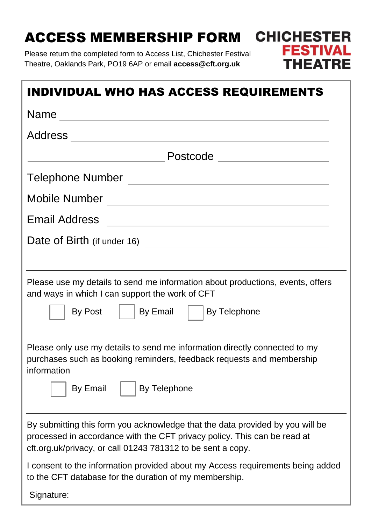# ACCESS MEMBERSHIP FORM

Please return the completed form to Access List, Chichester Festival Theatre, Oaklands Park, PO19 6AP or email **access@cft.org.uk**



**CHICHESTER** 

**FESTIVA** 

THEATRE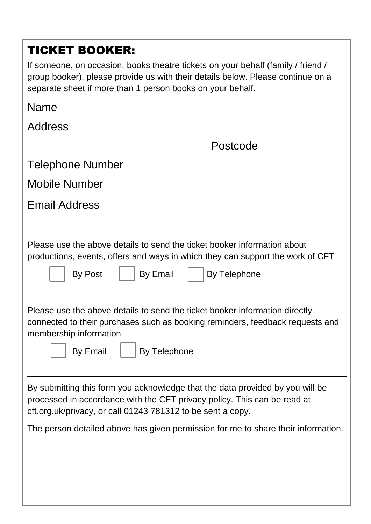# TICKET BOOKER:

If someone, on occasion, books theatre tickets on your behalf (family / friend / group booker), please provide us with their details below. Please continue on a separate sheet if more than 1 person books on your behalf.

| Name experience and the second contract of the second contract of the second contract of the second contract of the second contract of the second contract of the second contract of the second contract of the second contrac |  |
|--------------------------------------------------------------------------------------------------------------------------------------------------------------------------------------------------------------------------------|--|
|                                                                                                                                                                                                                                |  |
| Postcode ——————                                                                                                                                                                                                                |  |
| Telephone Number /// Telephone Number /// Telephone Number ///                                                                                                                                                                 |  |
|                                                                                                                                                                                                                                |  |
|                                                                                                                                                                                                                                |  |
| Please use the above details to send the ticket booker information about<br>productions, events, offers and ways in which they can support the work of CFT<br>By Email<br>By Telephone<br>By Post                              |  |
| Please use the above details to send the ticket booker information directly<br>connected to their purchases such as booking reminders, feedback requests and<br>membership information<br>By Email<br><b>By Telephone</b>      |  |
| By submitting this form you acknowledge that the data provided by you will be<br>processed in accordance with the CFT privacy policy. This can be read at<br>cft.org.uk/privacy, or call 01243 781312 to be sent a copy.       |  |
| The person detailed above has given permission for me to share their information.                                                                                                                                              |  |
|                                                                                                                                                                                                                                |  |
|                                                                                                                                                                                                                                |  |
|                                                                                                                                                                                                                                |  |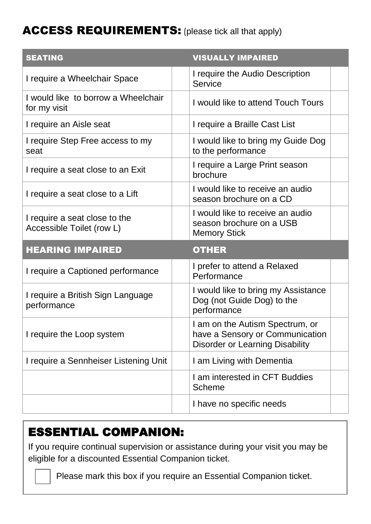# ACCESS REQUIREMENTS: (please tick all that apply)

| <b>SEATING</b>                                             | <b>VISUALLY IMPAIRED</b>                                                                                     |
|------------------------------------------------------------|--------------------------------------------------------------------------------------------------------------|
| I require a Wheelchair Space                               | I require the Audio Description<br><b>Service</b>                                                            |
| I would like to borrow a Wheelchair<br>for my visit        | I would like to attend Touch Tours                                                                           |
| I require an Aisle seat                                    | I require a Braille Cast List                                                                                |
| I require Step Free access to my<br>seat                   | I would like to bring my Guide Dog<br>to the performance                                                     |
| I require a seat close to an Exit                          | I require a Large Print season<br>brochure                                                                   |
| I require a seat close to a Lift                           | I would like to receive an audio<br>season brochure on a CD                                                  |
| I require a seat close to the<br>Accessible Toilet (row L) | I would like to receive an audio<br>season brochure on a USB<br><b>Memory Stick</b>                          |
| <b>HEARING IMPAIRED</b>                                    | <b>OTHER</b>                                                                                                 |
| I require a Captioned performance                          | I prefer to attend a Relaxed<br>Performance                                                                  |
| I require a British Sign Language<br>performance           | I would like to bring my Assistance<br>Dog (not Guide Dog) to the<br>performance                             |
| I require the Loop system                                  | I am on the Autism Spectrum, or<br>have a Sensory or Communication<br><b>Disorder or Learning Disability</b> |
| I require a Sennheiser Listening Unit                      | I am Living with Dementia                                                                                    |
|                                                            | I am interested in CFT Buddies<br><b>Scheme</b>                                                              |
|                                                            | I have no specific needs                                                                                     |

# ESSENTIAL COMPANION:

If you require continual supervision or assistance during your visit you may be eligible for a discounted Essential Companion ticket.

Please mark this box if you require an Essential Companion ticket.